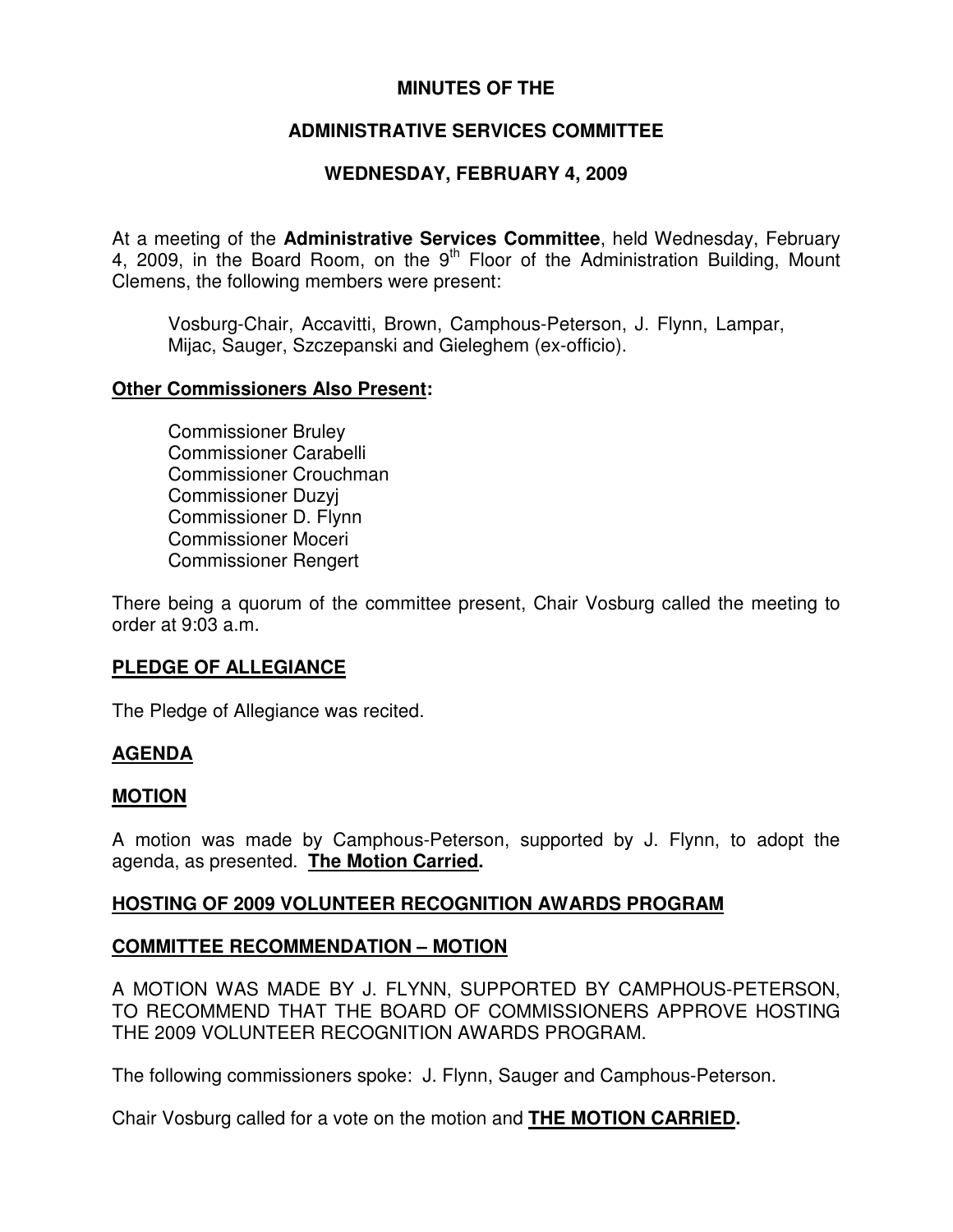## **MINUTES OF THE**

## **ADMINISTRATIVE SERVICES COMMITTEE**

## **WEDNESDAY, FEBRUARY 4, 2009**

At a meeting of the **Administrative Services Committee**, held Wednesday, February 4, 2009, in the Board Room, on the  $9<sup>th</sup>$  Floor of the Administration Building, Mount Clemens, the following members were present:

Vosburg-Chair, Accavitti, Brown, Camphous-Peterson, J. Flynn, Lampar, Mijac, Sauger, Szczepanski and Gieleghem (ex-officio).

#### **Other Commissioners Also Present:**

Commissioner Bruley Commissioner Carabelli Commissioner Crouchman Commissioner Duzyj Commissioner D. Flynn Commissioner Moceri Commissioner Rengert

There being a quorum of the committee present, Chair Vosburg called the meeting to order at 9:03 a.m.

## **PLEDGE OF ALLEGIANCE**

The Pledge of Allegiance was recited.

## **AGENDA**

#### **MOTION**

A motion was made by Camphous-Peterson, supported by J. Flynn, to adopt the agenda, as presented. **The Motion Carried.**

## **HOSTING OF 2009 VOLUNTEER RECOGNITION AWARDS PROGRAM**

## **COMMITTEE RECOMMENDATION – MOTION**

A MOTION WAS MADE BY J. FLYNN, SUPPORTED BY CAMPHOUS-PETERSON, TO RECOMMEND THAT THE BOARD OF COMMISSIONERS APPROVE HOSTING THE 2009 VOLUNTEER RECOGNITION AWARDS PROGRAM.

The following commissioners spoke: J. Flynn, Sauger and Camphous-Peterson.

Chair Vosburg called for a vote on the motion and **THE MOTION CARRIED.**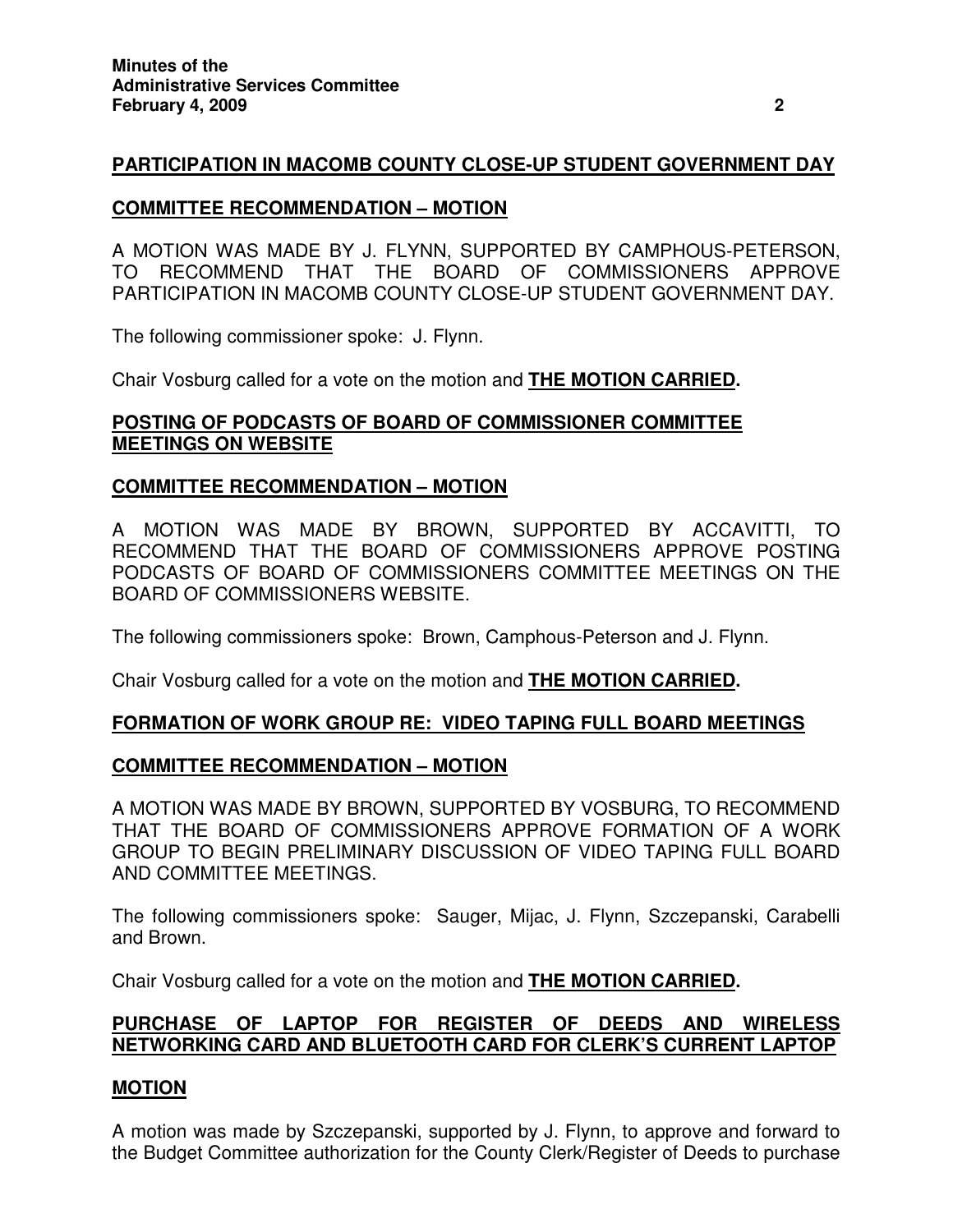## **PARTICIPATION IN MACOMB COUNTY CLOSE-UP STUDENT GOVERNMENT DAY**

### **COMMITTEE RECOMMENDATION – MOTION**

A MOTION WAS MADE BY J. FLYNN, SUPPORTED BY CAMPHOUS-PETERSON, TO RECOMMEND THAT THE BOARD OF COMMISSIONERS APPROVE PARTICIPATION IN MACOMB COUNTY CLOSE-UP STUDENT GOVERNMENT DAY.

The following commissioner spoke: J. Flynn.

Chair Vosburg called for a vote on the motion and **THE MOTION CARRIED.**

### **POSTING OF PODCASTS OF BOARD OF COMMISSIONER COMMITTEE MEETINGS ON WEBSITE**

#### **COMMITTEE RECOMMENDATION – MOTION**

A MOTION WAS MADE BY BROWN, SUPPORTED BY ACCAVITTI, TO RECOMMEND THAT THE BOARD OF COMMISSIONERS APPROVE POSTING PODCASTS OF BOARD OF COMMISSIONERS COMMITTEE MEETINGS ON THE BOARD OF COMMISSIONERS WEBSITE.

The following commissioners spoke: Brown, Camphous-Peterson and J. Flynn.

Chair Vosburg called for a vote on the motion and **THE MOTION CARRIED.**

## **FORMATION OF WORK GROUP RE: VIDEO TAPING FULL BOARD MEETINGS**

#### **COMMITTEE RECOMMENDATION – MOTION**

A MOTION WAS MADE BY BROWN, SUPPORTED BY VOSBURG, TO RECOMMEND THAT THE BOARD OF COMMISSIONERS APPROVE FORMATION OF A WORK GROUP TO BEGIN PRELIMINARY DISCUSSION OF VIDEO TAPING FULL BOARD AND COMMITTEE MEETINGS.

The following commissioners spoke: Sauger, Mijac, J. Flynn, Szczepanski, Carabelli and Brown.

Chair Vosburg called for a vote on the motion and **THE MOTION CARRIED.**

## **PURCHASE OF LAPTOP FOR REGISTER OF DEEDS AND WIRELESS NETWORKING CARD AND BLUETOOTH CARD FOR CLERK'S CURRENT LAPTOP**

#### **MOTION**

A motion was made by Szczepanski, supported by J. Flynn, to approve and forward to the Budget Committee authorization for the County Clerk/Register of Deeds to purchase